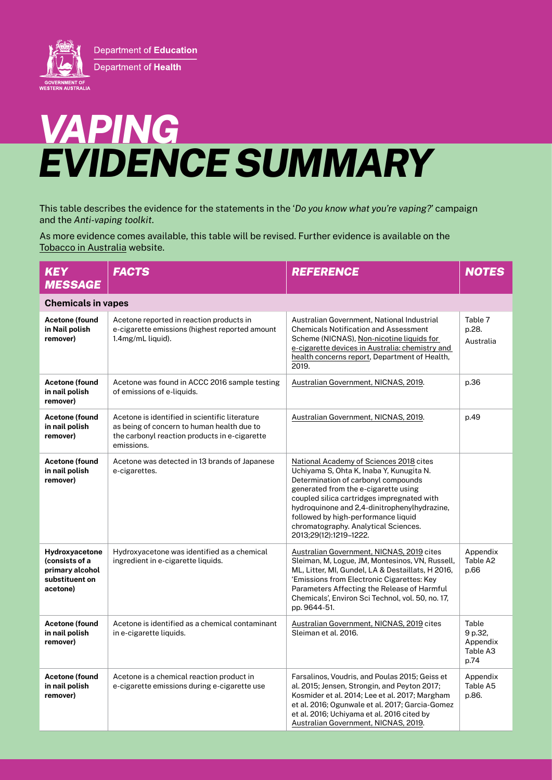

## *VAPING EVIDENCE SUMMARY*

This table describes the evidence for the statements in the '*Do you know what you're vaping?*' campaign and the *Anti-vaping toolkit*.

As more evidence comes available, this table will be revised. Further evidence is available on the [Tobacco in Australia](https://www.tobaccoinaustralia.org.au/home.aspx) website.

| <b>KEY</b><br><b>MESSAGE</b>                                                      | <b>FACTS</b>                                                                                                                                                | <b>REFERENCE</b>                                                                                                                                                                                                                                                                                                                                                          | <b>NOTES</b>                                     |
|-----------------------------------------------------------------------------------|-------------------------------------------------------------------------------------------------------------------------------------------------------------|---------------------------------------------------------------------------------------------------------------------------------------------------------------------------------------------------------------------------------------------------------------------------------------------------------------------------------------------------------------------------|--------------------------------------------------|
| <b>Chemicals in vapes</b>                                                         |                                                                                                                                                             |                                                                                                                                                                                                                                                                                                                                                                           |                                                  |
| Acetone (found<br>in Nail polish<br>remover)                                      | Acetone reported in reaction products in<br>e-cigarette emissions (highest reported amount<br>1.4mg/mL liquid).                                             | Australian Government, National Industrial<br><b>Chemicals Notification and Assessment</b><br>Scheme (NICNAS), Non-nicotine liquids for<br>e-cigarette devices in Australia: chemistry and<br>health concerns report, Department of Health,<br>2019.                                                                                                                      | Table 7<br>p.28.<br>Australia                    |
| Acetone (found<br>in nail polish<br>remover)                                      | Acetone was found in ACCC 2016 sample testing<br>of emissions of e-liquids.                                                                                 | Australian Government, NICNAS, 2019.                                                                                                                                                                                                                                                                                                                                      | p.36                                             |
| Acetone (found<br>in nail polish<br>remover)                                      | Acetone is identified in scientific literature<br>as being of concern to human health due to<br>the carbonyl reaction products in e-cigarette<br>emissions. | Australian Government, NICNAS, 2019.                                                                                                                                                                                                                                                                                                                                      | p.49                                             |
| Acetone (found<br>in nail polish<br>remover)                                      | Acetone was detected in 13 brands of Japanese<br>e-cigarettes.                                                                                              | National Academy of Sciences 2018 cites<br>Uchiyama S, Ohta K, Inaba Y, Kunugita N.<br>Determination of carbonyl compounds<br>generated from the e-cigarette using<br>coupled silica cartridges impregnated with<br>hydroquinone and 2,4-dinitrophenylhydrazine,<br>followed by high-performance liquid<br>chromatography. Analytical Sciences.<br>2013;29(12):1219-1222. |                                                  |
| Hydroxyacetone<br>(consists of a<br>primary alcohol<br>substituent on<br>acetone) | Hydroxyacetone was identified as a chemical<br>ingredient in e-cigarette liquids.                                                                           | Australian Government, NICNAS, 2019 cites<br>Sleiman, M, Logue, JM, Montesinos, VN, Russell,<br>ML, Litter, MI, Gundel, LA & Destaillats, H 2016,<br>'Emissions from Electronic Cigarettes: Key<br>Parameters Affecting the Release of Harmful<br>Chemicals', Environ Sci Technol, vol. 50, no. 17,<br>pp. 9644-51.                                                       | Appendix<br>Table A2<br>p.66                     |
| Acetone (found<br>in nail polish<br>remover)                                      | Acetone is identified as a chemical contaminant<br>in e-cigarette liquids.                                                                                  | Australian Government, NICNAS, 2019 cites<br>Sleiman et al. 2016.                                                                                                                                                                                                                                                                                                         | Table<br>9 p.32,<br>Appendix<br>Table A3<br>p.74 |
| Acetone (found<br>in nail polish<br>remover)                                      | Acetone is a chemical reaction product in<br>e-cigarette emissions during e-cigarette use                                                                   | Farsalinos, Voudris, and Poulas 2015; Geiss et<br>al. 2015; Jensen, Strongin, and Peyton 2017;<br>Kosmider et al. 2014; Lee et al. 2017; Margham<br>et al. 2016; Ogunwale et al. 2017; Garcia-Gomez<br>et al. 2016; Uchiyama et al. 2016 cited by<br>Australian Government, NICNAS, 2019.                                                                                 | Appendix<br>Table A5<br>p.86.                    |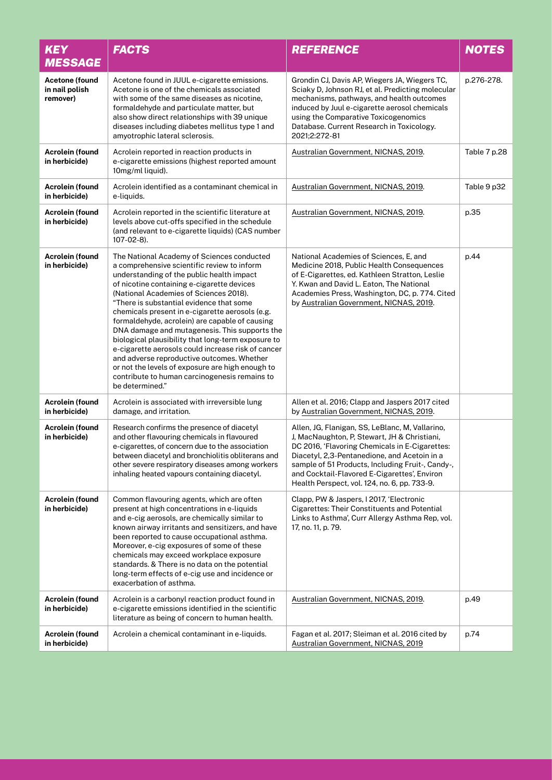| <b>KEY</b><br><b>MESSAGE</b>                        | <b>FACTS</b>                                                                                                                                                                                                                                                                                                                                                                                                                                                                                                                                                                                                                                                                                                       | <b>REFERENCE</b>                                                                                                                                                                                                                                                                                                                                      | <b>NOTES</b> |
|-----------------------------------------------------|--------------------------------------------------------------------------------------------------------------------------------------------------------------------------------------------------------------------------------------------------------------------------------------------------------------------------------------------------------------------------------------------------------------------------------------------------------------------------------------------------------------------------------------------------------------------------------------------------------------------------------------------------------------------------------------------------------------------|-------------------------------------------------------------------------------------------------------------------------------------------------------------------------------------------------------------------------------------------------------------------------------------------------------------------------------------------------------|--------------|
| <b>Acetone (found</b><br>in nail polish<br>remover) | Acetone found in JUUL e-cigarette emissions.<br>Acetone is one of the chemicals associated<br>with some of the same diseases as nicotine.<br>formaldehyde and particulate matter, but<br>also show direct relationships with 39 unique<br>diseases including diabetes mellitus type 1 and<br>amyotrophic lateral sclerosis.                                                                                                                                                                                                                                                                                                                                                                                        | Grondin CJ, Davis AP, Wiegers JA, Wiegers TC,<br>Sciaky D, Johnson RJ, et al. Predicting molecular<br>mechanisms, pathways, and health outcomes<br>induced by Juul e-cigarette aerosol chemicals<br>using the Comparative Toxicogenomics<br>Database. Current Research in Toxicology.<br>2021;2:272-81                                                | p.276-278.   |
| Acrolein (found<br>in herbicide)                    | Acrolein reported in reaction products in<br>e-cigarette emissions (highest reported amount<br>10mg/ml liquid).                                                                                                                                                                                                                                                                                                                                                                                                                                                                                                                                                                                                    | Australian Government, NICNAS, 2019.                                                                                                                                                                                                                                                                                                                  | Table 7 p.28 |
| Acrolein (found<br>in herbicide)                    | Acrolein identified as a contaminant chemical in<br>e-liquids.                                                                                                                                                                                                                                                                                                                                                                                                                                                                                                                                                                                                                                                     | Australian Government, NICNAS, 2019.                                                                                                                                                                                                                                                                                                                  | Table 9 p32  |
| Acrolein (found<br>in herbicide)                    | Acrolein reported in the scientific literature at<br>levels above cut-offs specified in the schedule<br>(and relevant to e-cigarette liquids) (CAS number<br>107-02-8).                                                                                                                                                                                                                                                                                                                                                                                                                                                                                                                                            | Australian Government, NICNAS, 2019.                                                                                                                                                                                                                                                                                                                  | p.35         |
| <b>Acrolein (found</b><br>in herbicide)             | The National Academy of Sciences conducted<br>a comprehensive scientific review to inform<br>understanding of the public health impact<br>of nicotine containing e-cigarette devices<br>(National Academies of Sciences 2018).<br>"There is substantial evidence that some<br>chemicals present in e-cigarette aerosols (e.g.<br>formaldehyde, acrolein) are capable of causing<br>DNA damage and mutagenesis. This supports the<br>biological plausibility that long-term exposure to<br>e-cigarette aerosols could increase risk of cancer<br>and adverse reproductive outcomes. Whether<br>or not the levels of exposure are high enough to<br>contribute to human carcinogenesis remains to<br>be determined." | National Academies of Sciences, E, and<br>Medicine 2018, Public Health Consequences<br>of E-Cigarettes, ed. Kathleen Stratton, Leslie<br>Y. Kwan and David L. Eaton, The National<br>Academies Press, Washington, DC, p. 774. Cited<br>by Australian Government, NICNAS, 2019.                                                                        | p.44         |
| <b>Acrolein (found</b><br>in herbicide)             | Acrolein is associated with irreversible lung<br>damage, and irritation.                                                                                                                                                                                                                                                                                                                                                                                                                                                                                                                                                                                                                                           | Allen et al. 2016; Clapp and Jaspers 2017 cited<br>by Australian Government, NICNAS, 2019.                                                                                                                                                                                                                                                            |              |
| Acrolein (found<br>in herbicide)                    | Research confirms the presence of diacetyl<br>and other flavouring chemicals in flavoured<br>e-cigarettes, of concern due to the association<br>between diacetyl and bronchiolitis obliterans and<br>other severe respiratory diseases among workers<br>inhaling heated vapours containing diacetyl.                                                                                                                                                                                                                                                                                                                                                                                                               | Allen, JG, Flanigan, SS, LeBlanc, M, Vallarino,<br>J, MacNaughton, P, Stewart, JH & Christiani,<br>DC 2016, 'Flavoring Chemicals in E-Cigarettes:<br>Diacetyl, 2,3-Pentanedione, and Acetoin in a<br>sample of 51 Products, Including Fruit-, Candy-,<br>and Cocktail-Flavored E-Cigarettes', Environ<br>Health Perspect, vol. 124, no. 6, pp. 733-9. |              |
| Acrolein (found<br>in herbicide)                    | Common flavouring agents, which are often<br>present at high concentrations in e-liquids<br>and e-cig aerosols, are chemically similar to<br>known airway irritants and sensitizers, and have<br>been reported to cause occupational asthma.<br>Moreover, e-cig exposures of some of these<br>chemicals may exceed workplace exposure<br>standards. & There is no data on the potential<br>long-term effects of e-cig use and incidence or<br>exacerbation of asthma.                                                                                                                                                                                                                                              | Clapp, PW & Jaspers, I 2017, 'Electronic<br><b>Cigarettes: Their Constituents and Potential</b><br>Links to Asthma', Curr Allergy Asthma Rep, vol.<br>17, no. 11, p. 79.                                                                                                                                                                              |              |
| Acrolein (found<br>in herbicide)                    | Acrolein is a carbonyl reaction product found in<br>e-cigarette emissions identified in the scientific<br>literature as being of concern to human health.                                                                                                                                                                                                                                                                                                                                                                                                                                                                                                                                                          | Australian Government, NICNAS, 2019.                                                                                                                                                                                                                                                                                                                  | p.49         |
| Acrolein (found<br>in herbicide)                    | Acrolein a chemical contaminant in e-liquids.                                                                                                                                                                                                                                                                                                                                                                                                                                                                                                                                                                                                                                                                      | Fagan et al. 2017; Sleiman et al. 2016 cited by<br>Australian Government, NICNAS, 2019                                                                                                                                                                                                                                                                | p.74         |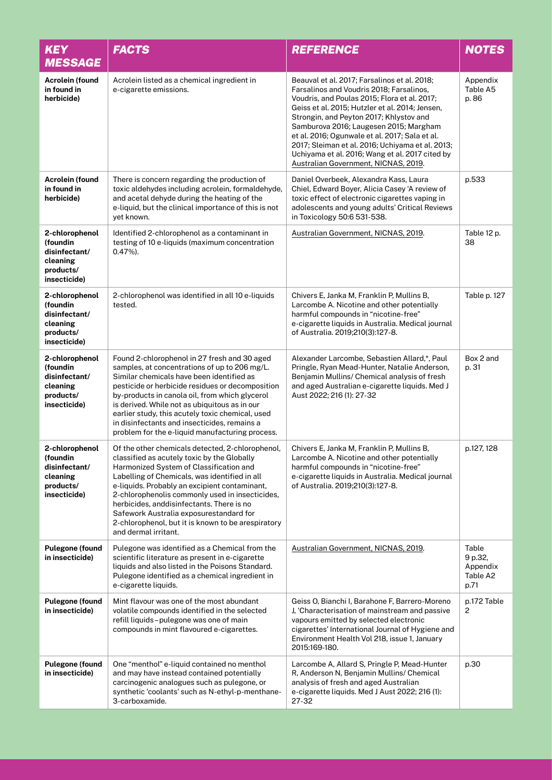| <b>KEY</b><br><b>MESSAGE</b>                                                         | <b>FACTS</b>                                                                                                                                                                                                                                                                                                                                                                                                                                                           | <b>REFERENCE</b>                                                                                                                                                                                                                                                                                                                                                                                                                                                                  | <b>NOTES</b>                                     |
|--------------------------------------------------------------------------------------|------------------------------------------------------------------------------------------------------------------------------------------------------------------------------------------------------------------------------------------------------------------------------------------------------------------------------------------------------------------------------------------------------------------------------------------------------------------------|-----------------------------------------------------------------------------------------------------------------------------------------------------------------------------------------------------------------------------------------------------------------------------------------------------------------------------------------------------------------------------------------------------------------------------------------------------------------------------------|--------------------------------------------------|
| Acrolein (found<br>in found in<br>herbicide)                                         | Acrolein listed as a chemical ingredient in<br>e-cigarette emissions.                                                                                                                                                                                                                                                                                                                                                                                                  | Beauval et al. 2017; Farsalinos et al. 2018;<br>Farsalinos and Voudris 2018; Farsalinos,<br>Voudris, and Poulas 2015; Flora et al. 2017;<br>Geiss et al. 2015; Hutzler et al. 2014; Jensen,<br>Strongin, and Peyton 2017; Khlystov and<br>Samburova 2016; Laugesen 2015; Margham<br>et al. 2016; Ogunwale et al. 2017; Sala et al.<br>2017; Sleiman et al. 2016; Uchiyama et al. 2013;<br>Uchiyama et al. 2016; Wang et al. 2017 cited by<br>Australian Government, NICNAS, 2019. | Appendix<br>Table A5<br>p. 86                    |
| <b>Acrolein (found</b><br>in found in<br>herbicide)                                  | There is concern regarding the production of<br>toxic aldehydes including acrolein, formaldehyde,<br>and acetal dehyde during the heating of the<br>e-liquid, but the clinical importance of this is not<br>yet known.                                                                                                                                                                                                                                                 | Daniel Overbeek, Alexandra Kass, Laura<br>Chiel, Edward Boyer, Alicia Casey 'A review of<br>toxic effect of electronic cigarettes vaping in<br>adolescents and young adults' Critical Reviews<br>in Toxicology 50:6 531-538.                                                                                                                                                                                                                                                      | p.533                                            |
| 2-chlorophenol<br>(foundin<br>disinfectant/<br>cleaning<br>products/<br>insecticide) | Identified 2-chlorophenol as a contaminant in<br>testing of 10 e-liquids (maximum concentration<br>$0.47\%$ ).                                                                                                                                                                                                                                                                                                                                                         | Australian Government, NICNAS, 2019.                                                                                                                                                                                                                                                                                                                                                                                                                                              | Table 12 p.<br>38                                |
| 2-chlorophenol<br>(foundin<br>disinfectant/<br>cleaning<br>products/<br>insecticide) | 2-chlorophenol was identified in all 10 e-liquids<br>tested.                                                                                                                                                                                                                                                                                                                                                                                                           | Chivers E, Janka M, Franklin P, Mullins B,<br>Larcombe A. Nicotine and other potentially<br>harmful compounds in "nicotine-free"<br>e-cigarette liquids in Australia. Medical journal<br>of Australia. 2019;210(3):127-8.                                                                                                                                                                                                                                                         | Table p. 127                                     |
| 2-chlorophenol<br>(foundin<br>disinfectant/<br>cleaning<br>products/<br>insecticide) | Found 2-chlorophenol in 27 fresh and 30 aged<br>samples, at concentrations of up to 206 mg/L.<br>Similar chemicals have been identified as<br>pesticide or herbicide residues or decomposition<br>by-products in canola oil, from which glycerol<br>is derived. While not as ubiquitous as in our<br>earlier study, this acutely toxic chemical, used<br>in disinfectants and insecticides, remains a<br>problem for the e-liquid manufacturing process.               | Alexander Larcombe, Sebastien Allard,*, Paul<br>Pringle, Ryan Mead-Hunter, Natalie Anderson,<br>Benjamin Mullins/ Chemical analysis of fresh<br>and aged Australian e-cigarette liquids. Med J<br>Aust 2022; 216 (1): 27-32                                                                                                                                                                                                                                                       | Box 2 and<br>p. 31                               |
| 2-chlorophenol<br>(foundin<br>disinfectant/<br>cleaning<br>products/<br>insecticide) | Of the other chemicals detected, 2-chlorophenol,<br>classified as acutely toxic by the Globally<br>Harmonized System of Classification and<br>Labelling of Chemicals, was identified in all<br>e-liquids. Probably an excipient contaminant,<br>2-chlorophenolis commonly used in insecticides,<br>herbicides, and disinfectants. There is no<br>Safework Australia exposurestandard for<br>2-chlorophenol, but it is known to be arespiratory<br>and dermal irritant. | Chivers E, Janka M, Franklin P, Mullins B,<br>Larcombe A. Nicotine and other potentially<br>harmful compounds in "nicotine-free"<br>e-cigarette liquids in Australia. Medical journal<br>of Australia. 2019;210(3):127-8.                                                                                                                                                                                                                                                         | p.127, 128                                       |
| <b>Pulegone (found</b><br>in insecticide)                                            | Pulegone was identified as a Chemical from the<br>scientific literature as present in e-cigarette<br>liquids and also listed in the Poisons Standard.<br>Pulegone identified as a chemical ingredient in<br>e-cigarette liquids.                                                                                                                                                                                                                                       | Australian Government, NICNAS, 2019.                                                                                                                                                                                                                                                                                                                                                                                                                                              | Table<br>9 p.32,<br>Appendix<br>Table A2<br>p.71 |
| <b>Pulegone (found</b><br>in insecticide)                                            | Mint flavour was one of the most abundant<br>volatile compounds identified in the selected<br>refill liquids-pulegone was one of main<br>compounds in mint flavoured e-cigarettes.                                                                                                                                                                                                                                                                                     | Geiss O, Bianchi I, Barahone F, Barrero-Moreno<br>J, 'Characterisation of mainstream and passive<br>vapours emitted by selected electronic<br>cigarettes' International Journal of Hygiene and<br>Environment Health Vol 218, issue 1, January<br>2015:169-180.                                                                                                                                                                                                                   | p.172 Table<br>2                                 |
| <b>Pulegone (found</b><br>in insecticide)                                            | One "menthol" e-liquid contained no menthol<br>and may have instead contained potentially<br>carcinogenic analogues such as pulegone, or<br>synthetic 'coolants' such as N-ethyl-p-menthane-<br>3-carboxamide.                                                                                                                                                                                                                                                         | Larcombe A, Allard S, Pringle P, Mead-Hunter<br>R, Anderson N, Benjamin Mullins/ Chemical<br>analysis of fresh and aged Australian<br>e-cigarette liquids. Med J Aust 2022; 216 (1):<br>27-32                                                                                                                                                                                                                                                                                     | p.30                                             |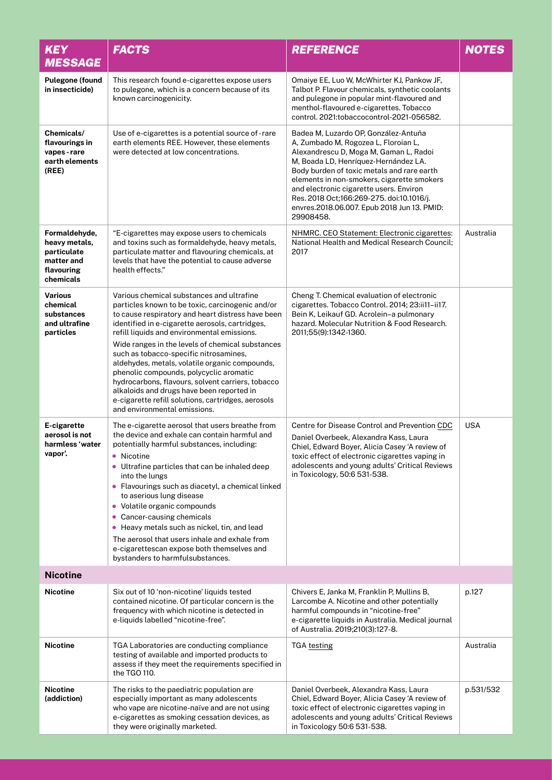| <b>KEY</b><br><b>MESSAGE</b>                                                           | <b>FACTS</b>                                                                                                                                                                                                                                                                                                                                                                                                                                                                                                                                                                                                                            | <b>REFERENCE</b>                                                                                                                                                                                                                                                                                                                                                                                               | <b>NOTES</b> |
|----------------------------------------------------------------------------------------|-----------------------------------------------------------------------------------------------------------------------------------------------------------------------------------------------------------------------------------------------------------------------------------------------------------------------------------------------------------------------------------------------------------------------------------------------------------------------------------------------------------------------------------------------------------------------------------------------------------------------------------------|----------------------------------------------------------------------------------------------------------------------------------------------------------------------------------------------------------------------------------------------------------------------------------------------------------------------------------------------------------------------------------------------------------------|--------------|
| <b>Pulegone (found</b><br>in insecticide)                                              | This research found e-cigarettes expose users<br>to pulegone, which is a concern because of its<br>known carcinogenicity.                                                                                                                                                                                                                                                                                                                                                                                                                                                                                                               | Omaiye EE, Luo W, McWhirter KJ, Pankow JF,<br>Talbot P. Flavour chemicals, synthetic coolants<br>and pulegone in popular mint-flavoured and<br>menthol-flavoured e-cigarettes. Tobacco<br>control. 2021:tobaccocontrol-2021-056582.                                                                                                                                                                            |              |
| Chemicals/<br>flavourings in<br>vapes-rare<br>earth elements<br>(REE)                  | Use of e-cigarettes is a potential source of -rare<br>earth elements REE. However, these elements<br>were detected at low concentrations.                                                                                                                                                                                                                                                                                                                                                                                                                                                                                               | Badea M, Luzardo OP, González-Antuña<br>A, Zumbado M, Rogozea L, Floroian L,<br>Alexandrescu D, Moga M, Gaman L, Radoi<br>M, Boada LD, Henríquez-Hernández LA.<br>Body burden of toxic metals and rare earth<br>elements in non-smokers, cigarette smokers<br>and electronic cigarette users. Environ<br>Res. 2018 Oct;166:269-275. doi:10.1016/j.<br>envres.2018.06.007. Epub 2018 Jun 13. PMID:<br>29908458. |              |
| Formaldehyde,<br>heavy metals,<br>particulate<br>matter and<br>flavouring<br>chemicals | "E-cigarettes may expose users to chemicals<br>and toxins such as formaldehyde, heavy metals,<br>particulate matter and flavouring chemicals, at<br>levels that have the potential to cause adverse<br>health effects."                                                                                                                                                                                                                                                                                                                                                                                                                 | NHMRC. CEO Statement: Electronic cigarettes:<br>National Health and Medical Research Council:<br>2017                                                                                                                                                                                                                                                                                                          | Australia    |
| <b>Various</b><br>chemical<br>substances<br>and ultrafine<br>particles                 | Various chemical substances and ultrafine<br>particles known to be toxic, carcinogenic and/or<br>to cause respiratory and heart distress have been<br>identified in e-cigarette aerosols, cartridges,<br>refill liquids and environmental emissions.<br>Wide ranges in the levels of chemical substances<br>such as tobacco-specific nitrosamines,<br>aldehydes, metals, volatile organic compounds,<br>phenolic compounds, polycyclic aromatic<br>hydrocarbons, flavours, solvent carriers, tobacco<br>alkaloids and drugs have been reported in<br>e-cigarette refill solutions, cartridges, aerosols<br>and environmental emissions. | Cheng T. Chemical evaluation of electronic<br>cigarettes. Tobacco Control. 2014; 23:ii11-ii17.<br>Bein K, Leikauf GD. Acrolein-a pulmonary<br>hazard. Molecular Nutrition & Food Research.<br>2011;55(9):1342-1360.                                                                                                                                                                                            |              |
| E-cigarette<br>aerosol is not<br>harmless 'water<br>vapor'.                            | The e-cigarette aerosol that users breathe from<br>the device and exhale can contain harmful and<br>potentially harmful substances, including:<br>• Nicotine<br>• Ultrafine particles that can be inhaled deep<br>into the lungs<br>• Flavourings such as diacetyl, a chemical linked<br>to aserious lung disease<br>• Volatile organic compounds<br>• Cancer-causing chemicals<br>• Heavy metals such as nickel, tin, and lead<br>The aerosol that users inhale and exhale from<br>e-cigarettescan expose both themselves and<br>bystanders to harmfulsubstances.                                                                      | Centre for Disease Control and Prevention CDC<br>Daniel Overbeek, Alexandra Kass, Laura<br>Chiel, Edward Boyer, Alicia Casey 'A review of<br>toxic effect of electronic cigarettes vaping in<br>adolescents and young adults' Critical Reviews<br>in Toxicology, 50:6 531-538.                                                                                                                                 | <b>USA</b>   |
| <b>Nicotine</b>                                                                        |                                                                                                                                                                                                                                                                                                                                                                                                                                                                                                                                                                                                                                         |                                                                                                                                                                                                                                                                                                                                                                                                                |              |
| <b>Nicotine</b>                                                                        | Six out of 10 'non-nicotine' liquids tested<br>contained nicotine. Of particular concern is the<br>frequency with which nicotine is detected in<br>e-liquids labelled "nicotine-free".                                                                                                                                                                                                                                                                                                                                                                                                                                                  | Chivers E, Janka M, Franklin P, Mullins B,<br>Larcombe A. Nicotine and other potentially<br>harmful compounds in "nicotine-free"<br>e-cigarette liquids in Australia. Medical journal<br>of Australia. 2019;210(3):127-8.                                                                                                                                                                                      | p.127        |
| <b>Nicotine</b>                                                                        | TGA Laboratories are conducting compliance<br>testing of available and imported products to<br>assess if they meet the requirements specified in<br>the TGO 110.                                                                                                                                                                                                                                                                                                                                                                                                                                                                        | <b>TGA testing</b>                                                                                                                                                                                                                                                                                                                                                                                             | Australia    |
| <b>Nicotine</b><br>(addiction)                                                         | The risks to the paediatric population are<br>especially important as many adolescents<br>who vape are nicotine-naïve and are not using<br>e-cigarettes as smoking cessation devices, as<br>they were originally marketed.                                                                                                                                                                                                                                                                                                                                                                                                              | Daniel Overbeek, Alexandra Kass, Laura<br>Chiel, Edward Boyer, Alicia Casey 'A review of<br>toxic effect of electronic cigarettes vaping in<br>adolescents and young adults' Critical Reviews<br>in Toxicology 50:6 531-538.                                                                                                                                                                                   | p.531/532    |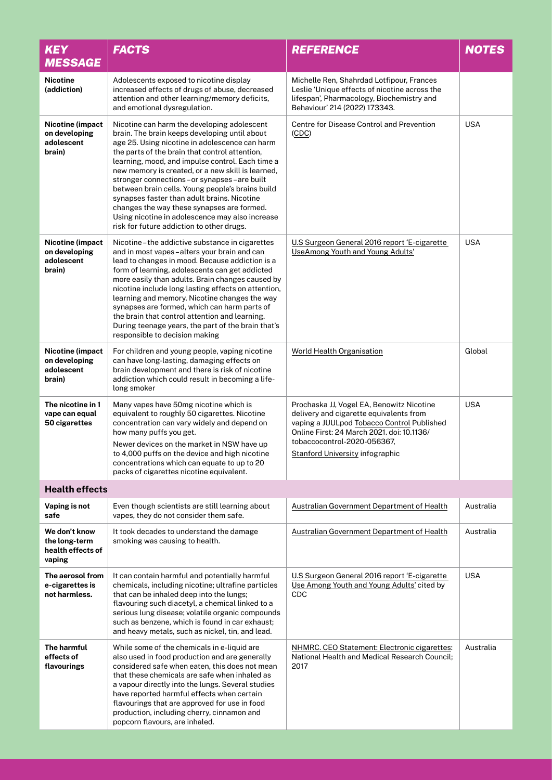| <b>KEY</b><br><b>MESSAGE</b>                                  | <b>FACTS</b>                                                                                                                                                                                                                                                                                                                                                                                                                                                                                                                                                                                             | <b>REFERENCE</b>                                                                                                                                                                                                                                          | <b>NOTES</b> |
|---------------------------------------------------------------|----------------------------------------------------------------------------------------------------------------------------------------------------------------------------------------------------------------------------------------------------------------------------------------------------------------------------------------------------------------------------------------------------------------------------------------------------------------------------------------------------------------------------------------------------------------------------------------------------------|-----------------------------------------------------------------------------------------------------------------------------------------------------------------------------------------------------------------------------------------------------------|--------------|
| <b>Nicotine</b><br>(addiction)                                | Adolescents exposed to nicotine display<br>increased effects of drugs of abuse, decreased<br>attention and other learning/memory deficits,<br>and emotional dysregulation.                                                                                                                                                                                                                                                                                                                                                                                                                               | Michelle Ren, Shahrdad Lotfipour, Frances<br>Leslie 'Unique effects of nicotine across the<br>lifespan', Pharmacology, Biochemistry and<br>Behaviour' 214 (2022) 173343.                                                                                  |              |
| Nicotine (impact<br>on developing<br>adolescent<br>brain)     | Nicotine can harm the developing adolescent<br>brain. The brain keeps developing until about<br>age 25. Using nicotine in adolescence can harm<br>the parts of the brain that control attention,<br>learning, mood, and impulse control. Each time a<br>new memory is created, or a new skill is learned,<br>stronger connections-or synapses-are built<br>between brain cells. Young people's brains build<br>synapses faster than adult brains. Nicotine<br>changes the way these synapses are formed.<br>Using nicotine in adolescence may also increase<br>risk for future addiction to other drugs. | Centre for Disease Control and Prevention<br>(CDC)                                                                                                                                                                                                        | <b>USA</b>   |
| Nicotine (impact<br>on developing<br>adolescent<br>brain)     | Nicotine-the addictive substance in cigarettes<br>and in most vapes-alters your brain and can<br>lead to changes in mood. Because addiction is a<br>form of learning, adolescents can get addicted<br>more easily than adults. Brain changes caused by<br>nicotine include long lasting effects on attention,<br>learning and memory. Nicotine changes the way<br>synapses are formed, which can harm parts of<br>the brain that control attention and learning.<br>During teenage years, the part of the brain that's<br>responsible to decision making                                                 | U.S Surgeon General 2016 report 'E-cigarette<br><b>UseAmong Youth and Young Adults'</b>                                                                                                                                                                   | <b>USA</b>   |
| Nicotine (impact<br>on developing<br>adolescent<br>brain)     | For children and young people, vaping nicotine<br>can have long-lasting, damaging effects on<br>brain development and there is risk of nicotine<br>addiction which could result in becoming a life-<br>long smoker                                                                                                                                                                                                                                                                                                                                                                                       | World Health Organisation                                                                                                                                                                                                                                 | Global       |
| The nicotine in 1<br>vape can equal<br>50 cigarettes          | Many vapes have 50mg nicotine which is<br>equivalent to roughly 50 cigarettes. Nicotine<br>concentration can vary widely and depend on<br>how many puffs you get.<br>Newer devices on the market in NSW have up<br>to 4,000 puffs on the device and high nicotine<br>concentrations which can equate to up to 20<br>packs of cigarettes nicotine equivalent.                                                                                                                                                                                                                                             | Prochaska JJ, Vogel EA, Benowitz Nicotine<br>delivery and cigarette equivalents from<br>vaping a JUULpod Tobacco Control Published<br>Online First: 24 March 2021. doi: 10.1136/<br>tobaccocontrol-2020-056367,<br><b>Stanford University infographic</b> | <b>USA</b>   |
| <b>Health effects</b>                                         |                                                                                                                                                                                                                                                                                                                                                                                                                                                                                                                                                                                                          |                                                                                                                                                                                                                                                           |              |
| Vaping is not<br>safe                                         | Even though scientists are still learning about<br>vapes, they do not consider them safe.                                                                                                                                                                                                                                                                                                                                                                                                                                                                                                                | Australian Government Department of Health                                                                                                                                                                                                                | Australia    |
| We don't know<br>the long-term<br>health effects of<br>vaping | It took decades to understand the damage<br>smoking was causing to health.                                                                                                                                                                                                                                                                                                                                                                                                                                                                                                                               | Australian Government Department of Health                                                                                                                                                                                                                | Australia    |
| The aerosol from<br>e-cigarettes is<br>not harmless.          | It can contain harmful and potentially harmful<br>chemicals, including nicotine; ultrafine particles<br>that can be inhaled deep into the lungs;<br>flavouring such diacetyl, a chemical linked to a<br>serious lung disease; volatile organic compounds<br>such as benzene, which is found in car exhaust;<br>and heavy metals, such as nickel, tin, and lead.                                                                                                                                                                                                                                          | U.S Surgeon General 2016 report 'E-cigarette<br>Use Among Youth and Young Adults' cited by<br><b>CDC</b>                                                                                                                                                  | <b>USA</b>   |
| The harmful<br>effects of<br>flavourings                      | While some of the chemicals in e-liquid are<br>also used in food production and are generally<br>considered safe when eaten, this does not mean<br>that these chemicals are safe when inhaled as<br>a vapour directly into the lungs. Several studies<br>have reported harmful effects when certain<br>flavourings that are approved for use in food<br>production, including cherry, cinnamon and<br>popcorn flavours, are inhaled.                                                                                                                                                                     | NHMRC. CEO Statement: Electronic cigarettes:<br>National Health and Medical Research Council;<br>2017                                                                                                                                                     | Australia    |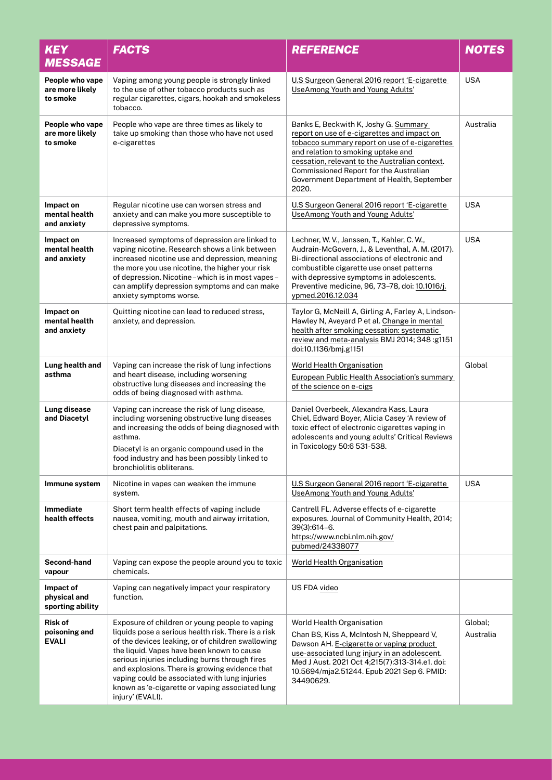| <b>KEY</b><br><b>MESSAGE</b>                    | <b>FACTS</b>                                                                                                                                                                                                                                                                                                                                                                                                                         | <b>REFERENCE</b>                                                                                                                                                                                                                                                                                                               | <b>NOTES</b>         |
|-------------------------------------------------|--------------------------------------------------------------------------------------------------------------------------------------------------------------------------------------------------------------------------------------------------------------------------------------------------------------------------------------------------------------------------------------------------------------------------------------|--------------------------------------------------------------------------------------------------------------------------------------------------------------------------------------------------------------------------------------------------------------------------------------------------------------------------------|----------------------|
| People who vape<br>are more likely<br>to smoke  | Vaping among young people is strongly linked<br>to the use of other tobacco products such as<br>regular cigarettes, cigars, hookah and smokeless<br>tobacco.                                                                                                                                                                                                                                                                         | U.S Surgeon General 2016 report 'E-cigarette<br><b>UseAmong Youth and Young Adults'</b>                                                                                                                                                                                                                                        | <b>USA</b>           |
| People who vape<br>are more likely<br>to smoke  | People who vape are three times as likely to<br>take up smoking than those who have not used<br>e-cigarettes                                                                                                                                                                                                                                                                                                                         | Banks E, Beckwith K, Joshy G. Summary<br>report on use of e-cigarettes and impact on<br>tobacco summary report on use of e-cigarettes<br>and relation to smoking uptake and<br>cessation, relevant to the Australian context.<br>Commissioned Report for the Australian<br>Government Department of Health, September<br>2020. | Australia            |
| Impact on<br>mental health<br>and anxiety       | Regular nicotine use can worsen stress and<br>anxiety and can make you more susceptible to<br>depressive symptoms.                                                                                                                                                                                                                                                                                                                   | U.S Surgeon General 2016 report 'E-cigarette<br><b>UseAmong Youth and Young Adults'</b>                                                                                                                                                                                                                                        | <b>USA</b>           |
| Impact on<br>mental health<br>and anxiety       | Increased symptoms of depression are linked to<br>vaping nicotine. Research shows a link between<br>increased nicotine use and depression, meaning<br>the more you use nicotine, the higher your risk<br>of depression. Nicotine - which is in most vapes -<br>can amplify depression symptoms and can make<br>anxiety symptoms worse.                                                                                               | Lechner, W. V., Janssen, T., Kahler, C. W.,<br>Audrain-McGovern, J., & Leventhal, A. M. (2017).<br>Bi-directional associations of electronic and<br>combustible cigarette use onset patterns<br>with depressive symptoms in adolescents.<br>Preventive medicine, 96, 73-78, doi: 10.1016/j.<br>ypmed.2016.12.034               | <b>USA</b>           |
| Impact on<br>mental health<br>and anxiety       | Quitting nicotine can lead to reduced stress,<br>anxiety, and depression.                                                                                                                                                                                                                                                                                                                                                            | Taylor G, McNeill A, Girling A, Farley A, Lindson-<br>Hawley N, Aveyard P et al. Change in mental<br>health after smoking cessation: systematic<br>review and meta-analysis BMJ 2014; 348: g1151<br>doi:10.1136/bmj.g1151                                                                                                      |                      |
| Lung health and<br>asthma                       | Vaping can increase the risk of lung infections<br>and heart disease, including worsening<br>obstructive lung diseases and increasing the<br>odds of being diagnosed with asthma.                                                                                                                                                                                                                                                    | <b>World Health Organisation</b><br>European Public Health Association's summary<br>of the science on e-cigs                                                                                                                                                                                                                   | Global               |
| Lung disease<br>and Diacetyl                    | Vaping can increase the risk of lung disease,<br>including worsening obstructive lung diseases<br>and increasing the odds of being diagnosed with<br>asthma.<br>Diacetyl is an organic compound used in the<br>food industry and has been possibly linked to<br>bronchiolitis obliterans.                                                                                                                                            | Daniel Overbeek, Alexandra Kass, Laura<br>Chiel, Edward Boyer, Alicia Casey 'A review of<br>toxic effect of electronic cigarettes vaping in<br>adolescents and young adults' Critical Reviews<br>in Toxicology 50:6 531-538.                                                                                                   |                      |
| Immune system                                   | Nicotine in vapes can weaken the immune<br>system.                                                                                                                                                                                                                                                                                                                                                                                   | U.S Surgeon General 2016 report 'E-cigarette<br>UseAmong Youth and Young Adults'                                                                                                                                                                                                                                               | <b>USA</b>           |
| Immediate<br>health effects                     | Short term health effects of vaping include<br>nausea, vomiting, mouth and airway irritation,<br>chest pain and palpitations.                                                                                                                                                                                                                                                                                                        | Cantrell FL. Adverse effects of e-cigarette<br>exposures. Journal of Community Health, 2014;<br>39(3):614-6.<br>https://www.ncbi.nlm.nih.gov/<br>pubmed/24338077                                                                                                                                                               |                      |
| Second-hand<br>vapour                           | Vaping can expose the people around you to toxic<br>chemicals.                                                                                                                                                                                                                                                                                                                                                                       | <b>World Health Organisation</b>                                                                                                                                                                                                                                                                                               |                      |
| Impact of<br>physical and<br>sporting ability   | Vaping can negatively impact your respiratory<br>function.                                                                                                                                                                                                                                                                                                                                                                           | US FDA video                                                                                                                                                                                                                                                                                                                   |                      |
| <b>Risk of</b><br>poisoning and<br><b>EVALI</b> | Exposure of children or young people to vaping<br>liquids pose a serious health risk. There is a risk<br>of the devices leaking, or of children swallowing<br>the liquid. Vapes have been known to cause<br>serious injuries including burns through fires<br>and explosions. There is growing evidence that<br>vaping could be associated with lung injuries<br>known as 'e-cigarette or vaping associated lung<br>injury' (EVALI). | World Health Organisation<br>Chan BS, Kiss A, McIntosh N, Sheppeard V,<br>Dawson AH. E-cigarette or vaping product<br>use-associated lung injury in an adolescent.<br>Med J Aust. 2021 Oct 4;215(7):313-314.e1. doi:<br>10.5694/mja2.51244. Epub 2021 Sep 6. PMID:<br>34490629.                                                | Global;<br>Australia |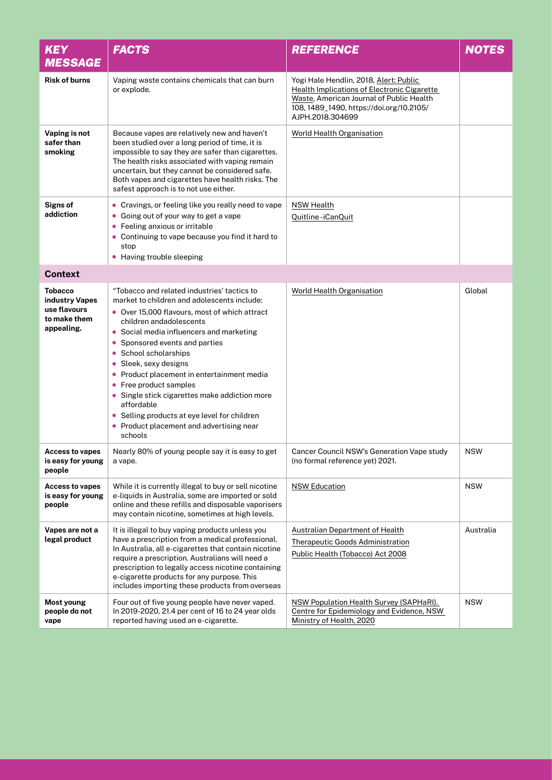| <b>KEY</b><br><b>MESSAGE</b>                                                   | <b>FACTS</b>                                                                                                                                                                                                                                                                                                                                                                                                                                                                                                                                               | <b>REFERENCE</b>                                                                                                                                                                                  | <b>NOTES</b> |
|--------------------------------------------------------------------------------|------------------------------------------------------------------------------------------------------------------------------------------------------------------------------------------------------------------------------------------------------------------------------------------------------------------------------------------------------------------------------------------------------------------------------------------------------------------------------------------------------------------------------------------------------------|---------------------------------------------------------------------------------------------------------------------------------------------------------------------------------------------------|--------------|
| <b>Risk of burns</b>                                                           | Vaping waste contains chemicals that can burn<br>or explode.                                                                                                                                                                                                                                                                                                                                                                                                                                                                                               | Yogi Hale Hendlin, 2018, Alert: Public<br>Health Implications of Electronic Cigarette<br>Waste, American Journal of Public Health<br>108, 1489_1490, https://doi.org/10.2105/<br>AJPH.2018.304699 |              |
| Vaping is not<br>safer than<br>smoking                                         | Because vapes are relatively new and haven't<br>been studied over a long period of time, it is<br>impossible to say they are safer than cigarettes.<br>The health risks associated with vaping remain<br>uncertain, but they cannot be considered safe.<br>Both vapes and cigarettes have health risks. The<br>safest approach is to not use either.                                                                                                                                                                                                       | <b>World Health Organisation</b>                                                                                                                                                                  |              |
| <b>Signs of</b><br>addiction                                                   | • Cravings, or feeling like you really need to vape<br>• Going out of your way to get a vape<br>• Feeling anxious or irritable<br>Continuing to vape because you find it hard to<br>$\bullet$<br>stop<br>• Having trouble sleeping                                                                                                                                                                                                                                                                                                                         | <b>NSW Health</b><br>Quitline-iCanQuit                                                                                                                                                            |              |
| <b>Context</b>                                                                 |                                                                                                                                                                                                                                                                                                                                                                                                                                                                                                                                                            |                                                                                                                                                                                                   |              |
| <b>Tobacco</b><br>industry Vapes<br>use flavours<br>to make them<br>appealing. | "Tobacco and related industries' tactics to<br>market to children and adolescents include:<br>• Over 15,000 flavours, most of which attract<br>children andadolescents<br>Social media influencers and marketing<br>Sponsored events and parties<br>School scholarships<br>۰<br>Sleek, sexy designs<br>$\bullet$<br>Product placement in entertainment media<br>• Free product samples<br>• Single stick cigarettes make addiction more<br>affordable<br>• Selling products at eye level for children<br>Product placement and advertising near<br>schools | <b>World Health Organisation</b>                                                                                                                                                                  | Global       |
| <b>Access to vapes</b><br>is easy for young<br>people                          | Nearly 80% of young people say it is easy to get<br>a vape.                                                                                                                                                                                                                                                                                                                                                                                                                                                                                                | Cancer Council NSW's Generation Vape study<br>(no formal reference yet) 2021.                                                                                                                     | <b>NSW</b>   |
| <b>Access to vapes</b><br>is easy for young<br>people                          | While it is currently illegal to buy or sell nicotine<br>e-liquids in Australia, some are imported or sold<br>online and these refills and disposable vaporisers<br>may contain nicotine, sometimes at high levels.                                                                                                                                                                                                                                                                                                                                        | <b>NSW Education</b>                                                                                                                                                                              | <b>NSW</b>   |
| Vapes are not a<br>legal product                                               | It is illegal to buy vaping products unless you<br>have a prescription from a medical professional.<br>In Australia, all e-cigarettes that contain nicotine<br>require a prescription. Australians will need a<br>prescription to legally access nicotine containing<br>e-cigarette products for any purpose. This<br>includes importing these products from overseas                                                                                                                                                                                      | <b>Australian Department of Health</b><br><b>Therapeutic Goods Administration</b><br>Public Health (Tobacco) Act 2008                                                                             | Australia    |
| Most young<br>people do not<br>vape                                            | Four out of five young people have never vaped.<br>In 2019-2020, 21.4 per cent of 16 to 24 year olds<br>reported having used an e-cigarette.                                                                                                                                                                                                                                                                                                                                                                                                               | NSW Population Health Survey (SAPHaRI).<br>Centre for Epidemiology and Evidence, NSW<br>Ministry of Health, 2020                                                                                  | <b>NSW</b>   |